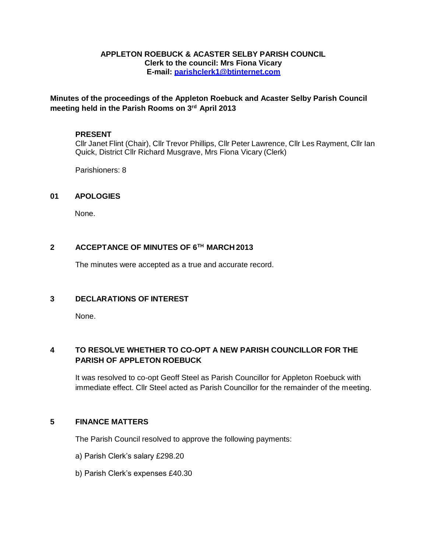### **APPLETON ROEBUCK & ACASTER SELBY PARISH COUNCIL Clerk to the council: Mrs Fiona Vicary E-mail: [parishclerk1@btinternet.com](mailto:parishclerk1@btinternet.com)**

## **Minutes of the proceedings of the Appleton Roebuck and Acaster Selby Parish Council meeting held in the Parish Rooms on 3rd April 2013**

### **PRESENT**

Cllr Janet Flint (Chair), Cllr Trevor Phillips, Cllr Peter Lawrence, Cllr Les Rayment, Cllr Ian Quick, District Cllr Richard Musgrave, Mrs Fiona Vicary (Clerk)

Parishioners: 8

### **01 APOLOGIES**

None.

### **2 ACCEPTANCE OF MINUTES OF 6TH MARCH 2013**

The minutes were accepted as a true and accurate record.

### **3 DECLARATIONS OF INTEREST**

None.

## **4 TO RESOLVE WHETHER TO CO-OPT A NEW PARISH COUNCILLOR FOR THE PARISH OF APPLETON ROEBUCK**

It was resolved to co-opt Geoff Steel as Parish Councillor for Appleton Roebuck with immediate effect. Cllr Steel acted as Parish Councillor for the remainder of the meeting.

### **5 FINANCE MATTERS**

The Parish Council resolved to approve the following payments:

- a) Parish Clerk's salary £298.20
- b) Parish Clerk's expenses £40.30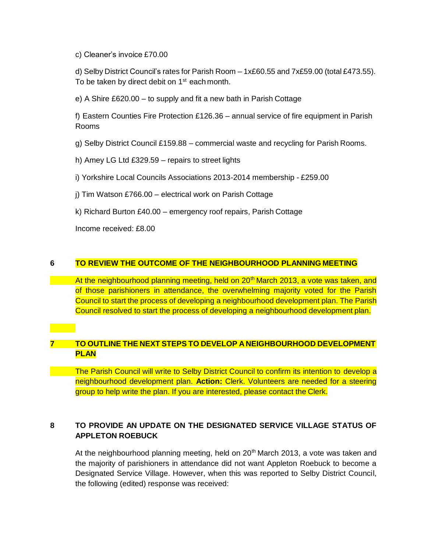c) Cleaner's invoice £70.00

d) Selby District Council's rates for Parish Room – 1x£60.55 and 7x£59.00 (total £473.55). To be taken by direct debit on 1<sup>st</sup> each month.

e) A Shire £620.00 – to supply and fit a new bath in Parish Cottage

f) Eastern Counties Fire Protection £126.36 – annual service of fire equipment in Parish Rooms

g) Selby District Council £159.88 – commercial waste and recycling for Parish Rooms.

h) Amey LG Ltd £329.59 – repairs to street lights

i) Yorkshire Local Councils Associations 2013-2014 membership - £259.00

j) Tim Watson £766.00 – electrical work on Parish Cottage

k) Richard Burton £40.00 – emergency roof repairs, Parish Cottage

Income received: £8.00

## **6 TO REVIEW THE OUTCOME OF THE NEIGHBOURHOOD PLANNING MEETING**

At the neighbourhood planning meeting, held on 20<sup>th</sup> March 2013, a vote was taken, and of those parishioners in attendance, the overwhelming majority voted for the Parish Council to start the process of developing a neighbourhood development plan. The Parish Council resolved to start the process of developing a neighbourhood development plan.

# **7 TO OUTLINE THE NEXT STEPS TO DEVELOP A NEIGHBOURHOOD DEVELOPMENT PLAN**

The Parish Council will write to Selby District Council to confirm its intention to develop a neighbourhood development plan. **Action:** Clerk. Volunteers are needed for a steering group to help write the plan. If you are interested, please contact the Clerk.

# **8 TO PROVIDE AN UPDATE ON THE DESIGNATED SERVICE VILLAGE STATUS OF APPLETON ROEBUCK**

At the neighbourhood planning meeting, held on  $20<sup>th</sup>$  March 2013, a vote was taken and the majority of parishioners in attendance did not want Appleton Roebuck to become a Designated Service Village. However, when this was reported to Selby District Council, the following (edited) response was received: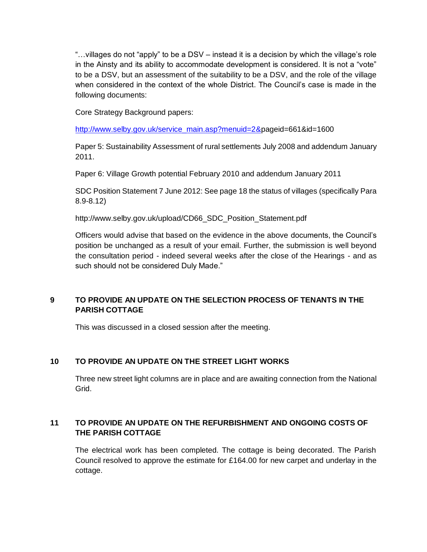"…villages do not "apply" to be a DSV – instead it is a decision by which the village's role in the Ainsty and its ability to accommodate development is considered. It is not a "vote" to be a DSV, but an assessment of the suitability to be a DSV, and the role of the village when considered in the context of the whole District. The Council's case is made in the following documents:

Core Strategy Background papers:

[http://www.selby.gov.uk/service\\_main.asp?menuid=2&pageid=661&id=1600](http://www.selby.gov.uk/service_main.asp?menuid=2&pageid=661&id=1600)

Paper 5: Sustainability Assessment of rural settlements July 2008 and addendum January 2011.

Paper 6: Village Growth potential February 2010 and addendum January 2011

SDC Position Statement 7 June 2012: See page 18 the status of villages (specifically Para 8.9-8.12)

[http://www.selby.gov.uk/upload/CD66\\_SDC\\_Position\\_Statement.pdf](http://www.selby.gov.uk/upload/CD66_SDC_Position_Statement.pdf)

Officers would advise that based on the evidence in the above documents, the Council's position be unchanged as a result of your email. Further, the submission is well beyond the consultation period - indeed several weeks after the close of the Hearings - and as such should not be considered Duly Made."

# **9 TO PROVIDE AN UPDATE ON THE SELECTION PROCESS OF TENANTS IN THE PARISH COTTAGE**

This was discussed in a closed session after the meeting.

## **10 TO PROVIDE AN UPDATE ON THE STREET LIGHT WORKS**

Three new street light columns are in place and are awaiting connection from the National Grid.

# **11 TO PROVIDE AN UPDATE ON THE REFURBISHMENT AND ONGOING COSTS OF THE PARISH COTTAGE**

The electrical work has been completed. The cottage is being decorated. The Parish Council resolved to approve the estimate for £164.00 for new carpet and underlay in the cottage.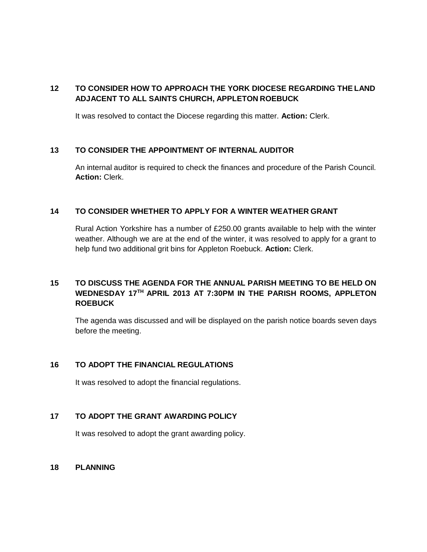## **12 TO CONSIDER HOW TO APPROACH THE YORK DIOCESE REGARDING THELAND ADJACENT TO ALL SAINTS CHURCH, APPLETON ROEBUCK**

It was resolved to contact the Diocese regarding this matter. **Action:** Clerk.

### **13 TO CONSIDER THE APPOINTMENT OF INTERNAL AUDITOR**

An internal auditor is required to check the finances and procedure of the Parish Council. **Action:** Clerk.

### **14 TO CONSIDER WHETHER TO APPLY FOR A WINTER WEATHER GRANT**

Rural Action Yorkshire has a number of £250.00 grants available to help with the winter weather. Although we are at the end of the winter, it was resolved to apply for a grant to help fund two additional grit bins for Appleton Roebuck. **Action:** Clerk.

## **15 TO DISCUSS THE AGENDA FOR THE ANNUAL PARISH MEETING TO BE HELD ON WEDNESDAY 17TH APRIL 2013 AT 7:30PM IN THE PARISH ROOMS, APPLETON ROEBUCK**

The agenda was discussed and will be displayed on the parish notice boards seven days before the meeting.

### **16 TO ADOPT THE FINANCIAL REGULATIONS**

It was resolved to adopt the financial regulations.

## **17 TO ADOPT THE GRANT AWARDING POLICY**

It was resolved to adopt the grant awarding policy.

### **18 PLANNING**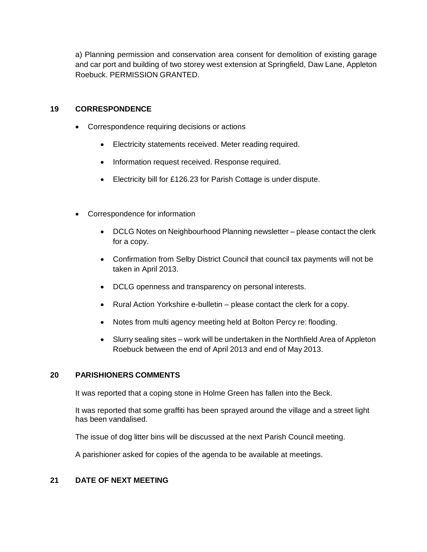a) Planning permission and conservation area consent for demolition of existing garage and car port and building of two storey west extension at Springfield, Daw Lane, Appleton Roebuck. PERMISSION GRANTED.

## **19 CORRESPONDENCE**

- Correspondence requiring decisions or actions
	- Electricity statements received. Meter reading required.
	- Information request received. Response required.
	- Electricity bill for £126.23 for Parish Cottage is under dispute.
- Correspondence for information
	- DCLG Notes on Neighbourhood Planning newsletter please contact the clerk for a copy.
	- Confirmation from Selby District Council that council tax payments will not be taken in April 2013.
	- DCLG openness and transparency on personal interests.
	- Rural Action Yorkshire e-bulletin please contact the clerk for a copy.
	- Notes from multi agency meeting held at Bolton Percy re: flooding.
	- Slurry sealing sites work will be undertaken in the Northfield Area of Appleton Roebuck between the end of April 2013 and end of May 2013.

### **20 PARISHIONERS COMMENTS**

It was reported that a coping stone in Holme Green has fallen into the Beck.

It was reported that some graffiti has been sprayed around the village and a street light has been vandalised.

The issue of dog litter bins will be discussed at the next Parish Council meeting.

A parishioner asked for copies of the agenda to be available at meetings.

## **21 DATE OF NEXT MEETING**